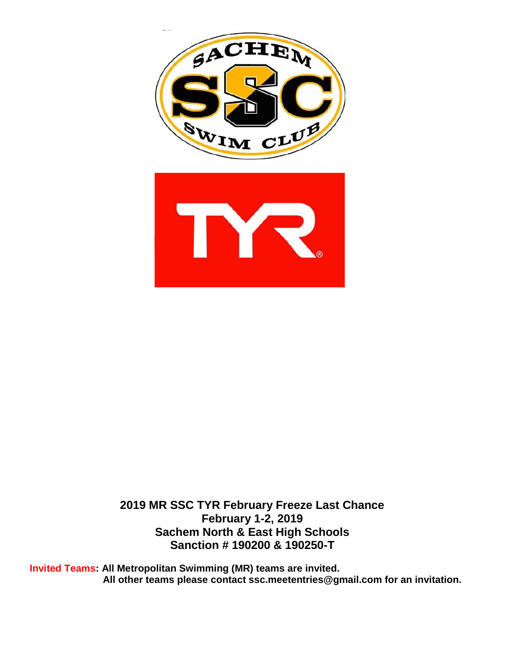



**2019 MR SSC TYR February Freeze Last Chance February 1-2, 2019 Sachem North & East High Schools Sanction # 190200 & 190250-T**

**Invited Teams: All Metropolitan Swimming (MR) teams are invited. All other teams please contact ssc.meetentries@gmail.com for an invitation.**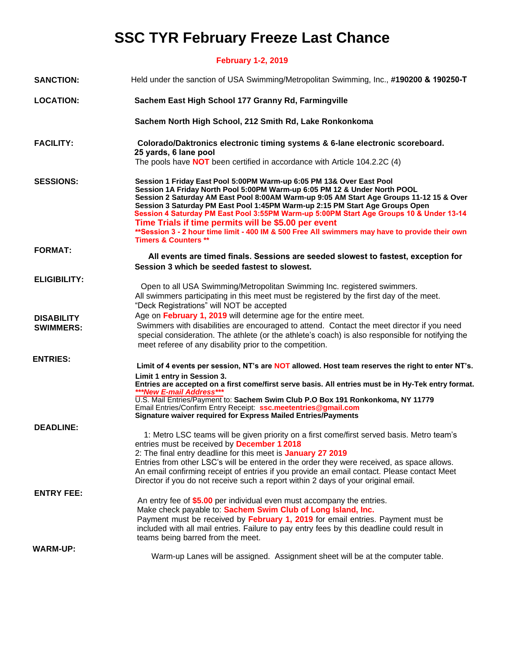# **SSC TYR February Freeze Last Chance**

**February 1-2, 2019**

| <b>SANCTION:</b>    | Held under the sanction of USA Swimming/Metropolitan Swimming, Inc., #190200 & 190250-T                                                                                                                                                                                                                                                                                                                                                                                                                                                                                                                               |
|---------------------|-----------------------------------------------------------------------------------------------------------------------------------------------------------------------------------------------------------------------------------------------------------------------------------------------------------------------------------------------------------------------------------------------------------------------------------------------------------------------------------------------------------------------------------------------------------------------------------------------------------------------|
| <b>LOCATION:</b>    | Sachem East High School 177 Granny Rd, Farmingville                                                                                                                                                                                                                                                                                                                                                                                                                                                                                                                                                                   |
|                     | Sachem North High School, 212 Smith Rd, Lake Ronkonkoma                                                                                                                                                                                                                                                                                                                                                                                                                                                                                                                                                               |
| <b>FACILITY:</b>    | Colorado/Daktronics electronic timing systems & 6-lane electronic scoreboard.<br>25 yards, 6 lane pool                                                                                                                                                                                                                                                                                                                                                                                                                                                                                                                |
|                     | The pools have <b>NOT</b> been certified in accordance with Article 104.2.2C (4)                                                                                                                                                                                                                                                                                                                                                                                                                                                                                                                                      |
| <b>SESSIONS:</b>    | Session 1 Friday East Pool 5:00PM Warm-up 6:05 PM 13& Over East Pool<br>Session 1A Friday North Pool 5:00PM Warm-up 6:05 PM 12 & Under North POOL<br>Session 2 Saturday AM East Pool 8:00AM Warm-up 9:05 AM Start Age Groups 11-12 15 & Over<br>Session 3 Saturday PM East Pool 1:45PM Warm-up 2:15 PM Start Age Groups Open<br>Session 4 Saturday PM East Pool 3:55PM Warm-up 5:00PM Start Age Groups 10 & Under 13-14<br>Time Trials if time permits will be \$5.00 per event<br>** Session 3 - 2 hour time limit - 400 IM & 500 Free All swimmers may have to provide their own<br><b>Timers &amp; Counters **</b> |
| <b>FORMAT:</b>      | All events are timed finals. Sessions are seeded slowest to fastest, exception for                                                                                                                                                                                                                                                                                                                                                                                                                                                                                                                                    |
|                     | Session 3 which be seeded fastest to slowest.                                                                                                                                                                                                                                                                                                                                                                                                                                                                                                                                                                         |
| <b>ELIGIBILITY:</b> |                                                                                                                                                                                                                                                                                                                                                                                                                                                                                                                                                                                                                       |
|                     | Open to all USA Swimming/Metropolitan Swimming Inc. registered swimmers.<br>All swimmers participating in this meet must be registered by the first day of the meet.<br>"Deck Registrations" will NOT be accepted                                                                                                                                                                                                                                                                                                                                                                                                     |
| <b>DISABILITY</b>   | Age on February 1, 2019 will determine age for the entire meet.                                                                                                                                                                                                                                                                                                                                                                                                                                                                                                                                                       |
| <b>SWIMMERS:</b>    | Swimmers with disabilities are encouraged to attend. Contact the meet director if you need<br>special consideration. The athlete (or the athlete's coach) is also responsible for notifying the<br>meet referee of any disability prior to the competition.                                                                                                                                                                                                                                                                                                                                                           |
| <b>ENTRIES:</b>     |                                                                                                                                                                                                                                                                                                                                                                                                                                                                                                                                                                                                                       |
|                     | Limit of 4 events per session, NT's are NOT allowed. Host team reserves the right to enter NT's.<br>Limit 1 entry in Session 3.                                                                                                                                                                                                                                                                                                                                                                                                                                                                                       |
|                     | Entries are accepted on a first come/first serve basis. All entries must be in Hy-Tek entry format.                                                                                                                                                                                                                                                                                                                                                                                                                                                                                                                   |
|                     | ***New E-mail Address***<br>U.S. Mail Entries/Payment to: Sachem Swim Club P.O Box 191 Ronkonkoma, NY 11779<br>Email Entries/Confirm Entry Receipt: ssc.meetentries@gmail.com<br><b>Signature waiver required for Express Mailed Entries/Payments</b>                                                                                                                                                                                                                                                                                                                                                                 |
| <b>DEADLINE:</b>    |                                                                                                                                                                                                                                                                                                                                                                                                                                                                                                                                                                                                                       |
|                     | 1: Metro LSC teams will be given priority on a first come/first served basis. Metro team's<br>entries must be received by December 1 2018<br>2: The final entry deadline for this meet is January 27 2019<br>Entries from other LSC's will be entered in the order they were received, as space allows.<br>An email confirming receipt of entries if you provide an email contact. Please contact Meet<br>Director if you do not receive such a report within 2 days of your original email.                                                                                                                          |
| <b>ENTRY FEE:</b>   |                                                                                                                                                                                                                                                                                                                                                                                                                                                                                                                                                                                                                       |
|                     | An entry fee of \$5.00 per individual even must accompany the entries.<br>Make check payable to: Sachem Swim Club of Long Island, Inc.<br>Payment must be received by February 1, 2019 for email entries. Payment must be<br>included with all mail entries. Failure to pay entry fees by this deadline could result in<br>teams being barred from the meet.                                                                                                                                                                                                                                                          |
| <b>WARM-UP:</b>     |                                                                                                                                                                                                                                                                                                                                                                                                                                                                                                                                                                                                                       |
|                     | Warm-up Lanes will be assigned. Assignment sheet will be at the computer table.                                                                                                                                                                                                                                                                                                                                                                                                                                                                                                                                       |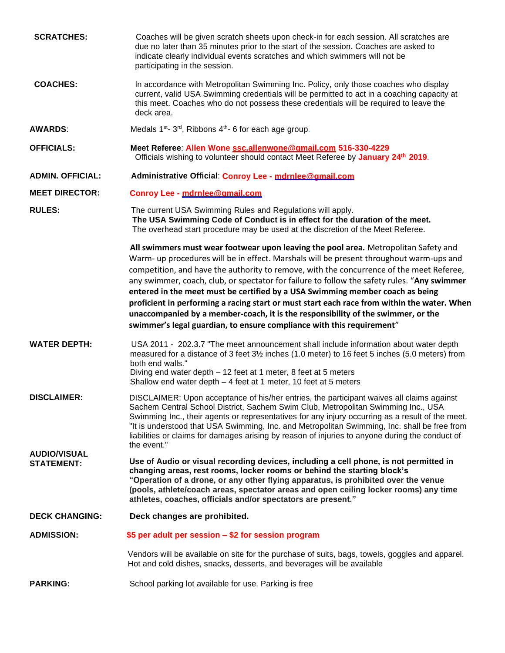| <b>SCRATCHES:</b>                        | Coaches will be given scratch sheets upon check-in for each session. All scratches are<br>due no later than 35 minutes prior to the start of the session. Coaches are asked to<br>indicate clearly individual events scratches and which swimmers will not be<br>participating in the session.                                                                                                                                                                                                                                                                                                                                                                                                                         |
|------------------------------------------|------------------------------------------------------------------------------------------------------------------------------------------------------------------------------------------------------------------------------------------------------------------------------------------------------------------------------------------------------------------------------------------------------------------------------------------------------------------------------------------------------------------------------------------------------------------------------------------------------------------------------------------------------------------------------------------------------------------------|
| <b>COACHES:</b>                          | In accordance with Metropolitan Swimming Inc. Policy, only those coaches who display<br>current, valid USA Swimming credentials will be permitted to act in a coaching capacity at<br>this meet. Coaches who do not possess these credentials will be required to leave the<br>deck area.                                                                                                                                                                                                                                                                                                                                                                                                                              |
| <b>AWARDS:</b>                           | Medals 1 <sup>st</sup> -3 <sup>rd</sup> , Ribbons 4 <sup>th</sup> -6 for each age group.                                                                                                                                                                                                                                                                                                                                                                                                                                                                                                                                                                                                                               |
| <b>OFFICIALS:</b>                        | Meet Referee: Allen Wone ssc.allenwone@amail.com 516-330-4229<br>Officials wishing to volunteer should contact Meet Referee by January 24th 2019.                                                                                                                                                                                                                                                                                                                                                                                                                                                                                                                                                                      |
| <b>ADMIN. OFFICIAL:</b>                  | Administrative Official: Conroy Lee - mdrnlee@amail.com                                                                                                                                                                                                                                                                                                                                                                                                                                                                                                                                                                                                                                                                |
| <b>MEET DIRECTOR:</b>                    | Conroy Lee - mdrnlee@amail.com                                                                                                                                                                                                                                                                                                                                                                                                                                                                                                                                                                                                                                                                                         |
| <b>RULES:</b>                            | The current USA Swimming Rules and Regulations will apply.<br>The USA Swimming Code of Conduct is in effect for the duration of the meet.<br>The overhead start procedure may be used at the discretion of the Meet Referee.                                                                                                                                                                                                                                                                                                                                                                                                                                                                                           |
|                                          | All swimmers must wear footwear upon leaving the pool area. Metropolitan Safety and<br>Warm- up procedures will be in effect. Marshals will be present throughout warm-ups and<br>competition, and have the authority to remove, with the concurrence of the meet Referee,<br>any swimmer, coach, club, or spectator for failure to follow the safety rules. "Any swimmer<br>entered in the meet must be certified by a USA Swimming member coach as being<br>proficient in performing a racing start or must start each race from within the water. When<br>unaccompanied by a member-coach, it is the responsibility of the swimmer, or the<br>swimmer's legal guardian, to ensure compliance with this requirement" |
| <b>WATER DEPTH:</b>                      | USA 2011 - 202.3.7 "The meet announcement shall include information about water depth<br>measured for a distance of 3 feet 3½ inches (1.0 meter) to 16 feet 5 inches (5.0 meters) from<br>both end walls."<br>Diving end water depth - 12 feet at 1 meter, 8 feet at 5 meters<br>Shallow end water depth - 4 feet at 1 meter, 10 feet at 5 meters                                                                                                                                                                                                                                                                                                                                                                      |
| <b>DISCLAIMER:</b>                       | DISCLAIMER: Upon acceptance of his/her entries, the participant waives all claims against<br>Sachem Central School District, Sachem Swim Club, Metropolitan Swimming Inc., USA<br>Swimming Inc., their agents or representatives for any injury occurring as a result of the meet.<br>"It is understood that USA Swimming, Inc. and Metropolitan Swimming, Inc. shall be free from<br>liabilities or claims for damages arising by reason of injuries to anyone during the conduct of<br>the event."                                                                                                                                                                                                                   |
| <b>AUDIO/VISUAL</b><br><b>STATEMENT:</b> | Use of Audio or visual recording devices, including a cell phone, is not permitted in<br>changing areas, rest rooms, locker rooms or behind the starting block's<br>"Operation of a drone, or any other flying apparatus, is prohibited over the venue<br>(pools, athlete/coach areas, spectator areas and open ceiling locker rooms) any time<br>athletes, coaches, officials and/or spectators are present."                                                                                                                                                                                                                                                                                                         |
| <b>DECK CHANGING:</b>                    | Deck changes are prohibited.                                                                                                                                                                                                                                                                                                                                                                                                                                                                                                                                                                                                                                                                                           |
| <b>ADMISSION:</b>                        | \$5 per adult per session – \$2 for session program                                                                                                                                                                                                                                                                                                                                                                                                                                                                                                                                                                                                                                                                    |
|                                          | Vendors will be available on site for the purchase of suits, bags, towels, goggles and apparel.<br>Hot and cold dishes, snacks, desserts, and beverages will be available                                                                                                                                                                                                                                                                                                                                                                                                                                                                                                                                              |
| <b>PARKING:</b>                          | School parking lot available for use. Parking is free                                                                                                                                                                                                                                                                                                                                                                                                                                                                                                                                                                                                                                                                  |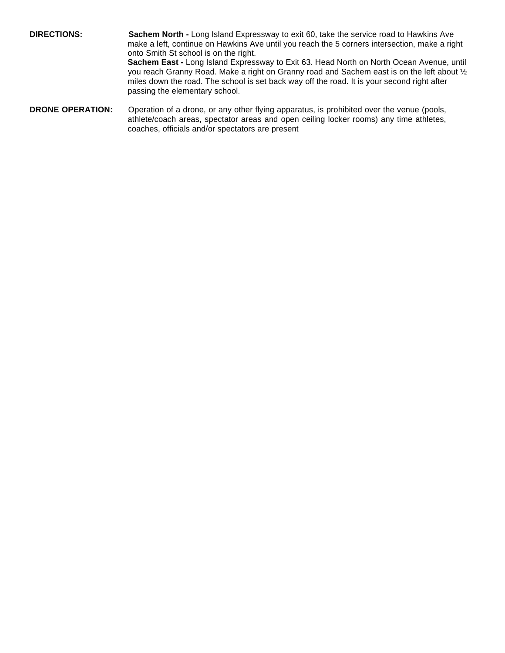**DIRECTIONS: Sachem North -** Long Island Expressway to exit 60, take the service road to Hawkins Ave make a left, continue on Hawkins Ave until you reach the 5 corners intersection, make a right onto Smith St school is on the right.

**Sachem East -** Long Island Expressway to Exit 63. Head North on North Ocean Avenue, until you reach Granny Road. Make a right on Granny road and Sachem east is on the left about ½ miles down the road. The school is set back way off the road. It is your second right after passing the elementary school.

**DRONE OPERATION:** Operation of a drone, or any other flying apparatus, is prohibited over the venue (pools, athlete/coach areas, spectator areas and open ceiling locker rooms) any time athletes, coaches, officials and/or spectators are present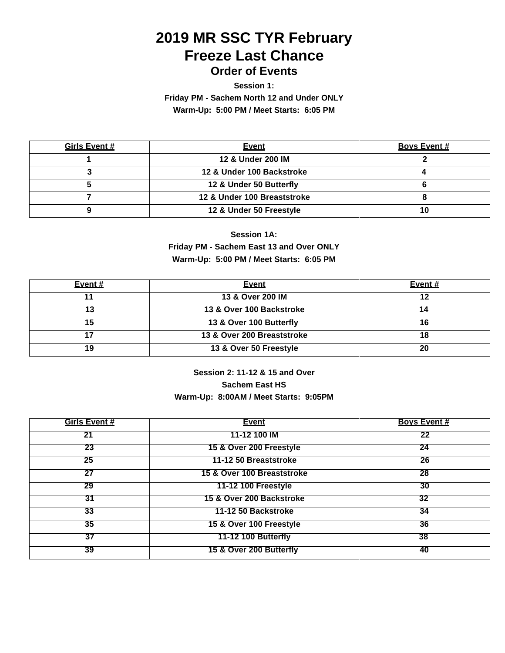## **2019 MR SSC TYR February Freeze Last Chance Order of Events**

**Session 1:**

**Friday PM - Sachem North 12 and Under ONLY** 

**Warm-Up: 5:00 PM / Meet Starts: 6:05 PM**

| <b>Girls Event #</b> | <b>Event</b>                | <b>Boys Event #</b> |
|----------------------|-----------------------------|---------------------|
|                      | 12 & Under 200 IM           |                     |
|                      | 12 & Under 100 Backstroke   |                     |
|                      | 12 & Under 50 Butterfly     |                     |
|                      | 12 & Under 100 Breaststroke |                     |
|                      | 12 & Under 50 Freestyle     |                     |

## **Session 1A: Friday PM - Sachem East 13 and Over ONLY Warm-Up: 5:00 PM / Meet Starts: 6:05 PM**

| Event $#$ | <b>Event</b>               | Event # |
|-----------|----------------------------|---------|
|           | 13 & Over 200 IM           | 12      |
|           | 13 & Over 100 Backstroke   |         |
|           | 13 & Over 100 Butterfly    |         |
|           | 13 & Over 200 Breaststroke |         |
| 1 Q       | 13 & Over 50 Freestyle     | 20      |

### **Session 2: 11-12 & 15 and Over Sachem East HS Warm-Up: 8:00AM / Meet Starts: 9:05PM**

| <b>Girls Event #</b> | <b>Event</b>               | <b>Bovs Event #</b> |
|----------------------|----------------------------|---------------------|
| 21                   | 11-12 100 IM               | 22                  |
| 23                   | 15 & Over 200 Freestyle    | 24                  |
| 25                   | 11-12 50 Breaststroke      | 26                  |
| 27                   | 15 & Over 100 Breaststroke | 28                  |
| 29                   | 11-12 100 Freestyle        | 30                  |
| $\overline{31}$      | 15 & Over 200 Backstroke   | 32                  |
| 33                   | 11-12 50 Backstroke        | 34                  |
| $\overline{35}$      | 15 & Over 100 Freestyle    | 36                  |
| $\overline{37}$      | <b>11-12 100 Butterfly</b> | 38                  |
| 39                   | 15 & Over 200 Butterfly    | 40                  |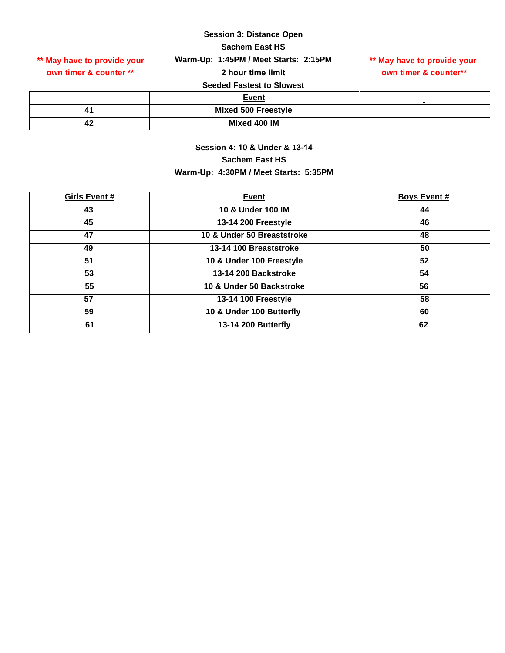#### **Session 3: Distance Open**

**Sachem East HS**

**own timer & counter \*\*** 

**\*\* May have to provide your \*\* May have to provide your Warm-Up: 1:45PM / Meet Starts: 2:15PM**

**2 hour time limit** 

# **own timer & counter\*\***

#### **Seeded Fastest to Slowest**

|    | <b>Event</b>               |  |
|----|----------------------------|--|
|    | <b>Mixed 500 Freestyle</b> |  |
| Т4 | Mixed 400 IM               |  |

## **Session 4: 10 & Under & 13-14 Sachem East HS Warm-Up: 4:30PM / Meet Starts: 5:35PM**

| Girls Event # | <b>Event</b>               | <b>Boys Event #</b> |
|---------------|----------------------------|---------------------|
| 43            | 10 & Under 100 IM          | 44                  |
| 45            | 13-14 200 Freestyle        | 46                  |
| 47            | 10 & Under 50 Breaststroke | 48                  |
| 49            | 13-14 100 Breaststroke     | 50                  |
| 51            | 10 & Under 100 Freestyle   | 52                  |
| 53            | 13-14 200 Backstroke       | 54                  |
| 55            | 10 & Under 50 Backstroke   | 56                  |
| 57            | 13-14 100 Freestyle        | 58                  |
| 59            | 10 & Under 100 Butterfly   | 60                  |
| 61            | 13-14 200 Butterfly        | 62                  |